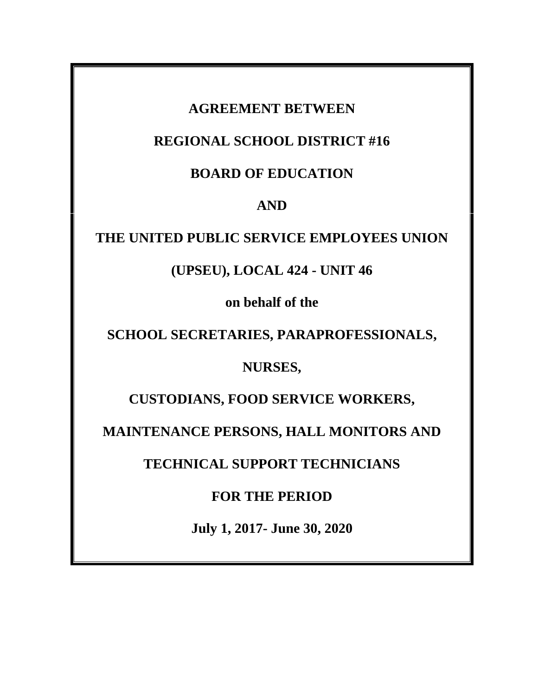# **AGREEMENT BETWEEN**

# **REGIONAL SCHOOL DISTRICT #16**

# **BOARD OF EDUCATION**

# **AND**

# **THE UNITED PUBLIC SERVICE EMPLOYEES UNION**

# **(UPSEU), LOCAL 424 - UNIT 46**

**on behalf of the**

**SCHOOL SECRETARIES, PARAPROFESSIONALS,**

# **NURSES,**

**CUSTODIANS, FOOD SERVICE WORKERS,**

**MAINTENANCE PERSONS, HALL MONITORS AND**

**TECHNICAL SUPPORT TECHNICIANS**

# **FOR THE PERIOD**

**July 1, 2017- June 30, 2020**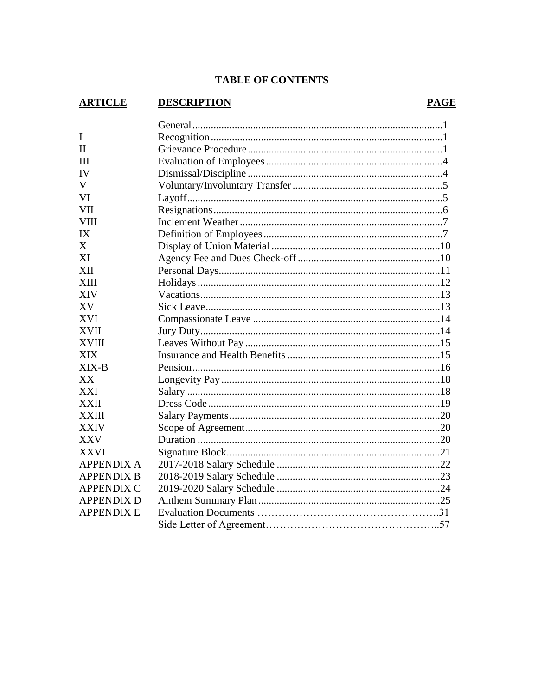#### **TABLE OF CONTENTS**

#### **ARTICLE DESCRIPTION**  $\mathbf{I}$  $\Pi$  $III$ **IV**  $\mathbf V$ VI **VII VIII**  $IX$  $\mathbf{X}$ XI XII **XIII XIV XV** XVI **XVII XVIII XIX**  $XIX - B$ XX **XXI XXII XXIII XXIV XXV XXVI APPENDIX A APPENDIX B APPENDIX C APPENDIX D APPENDIX E**

#### **PAGE**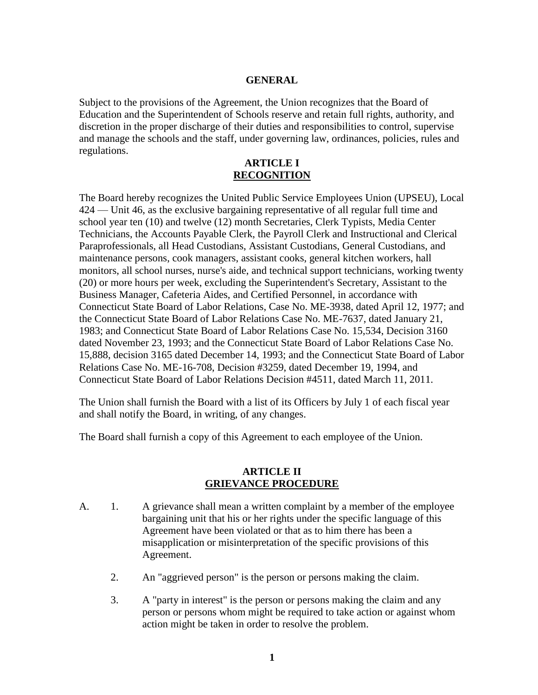#### **GENERAL**

Subject to the provisions of the Agreement, the Union recognizes that the Board of Education and the Superintendent of Schools reserve and retain full rights, authority, and discretion in the proper discharge of their duties and responsibilities to control, supervise and manage the schools and the staff, under governing law, ordinances, policies, rules and regulations.

## **ARTICLE I RECOGNITION**

The Board hereby recognizes the United Public Service Employees Union (UPSEU), Local 424 — Unit 46, as the exclusive bargaining representative of all regular full time and school year ten (10) and twelve (12) month Secretaries, Clerk Typists, Media Center Technicians, the Accounts Payable Clerk, the Payroll Clerk and Instructional and Clerical Paraprofessionals, all Head Custodians, Assistant Custodians, General Custodians, and maintenance persons, cook managers, assistant cooks, general kitchen workers, hall monitors, all school nurses, nurse's aide, and technical support technicians, working twenty (20) or more hours per week, excluding the Superintendent's Secretary, Assistant to the Business Manager, Cafeteria Aides, and Certified Personnel, in accordance with Connecticut State Board of Labor Relations, Case No. ME-3938, dated April 12, 1977; and the Connecticut State Board of Labor Relations Case No. ME-7637, dated January 21, 1983; and Connecticut State Board of Labor Relations Case No. 15,534, Decision 3160 dated November 23, 1993; and the Connecticut State Board of Labor Relations Case No. 15,888, decision 3165 dated December 14, 1993; and the Connecticut State Board of Labor Relations Case No. ME-16-708, Decision #3259, dated December 19, 1994, and Connecticut State Board of Labor Relations Decision #4511, dated March 11, 2011.

The Union shall furnish the Board with a list of its Officers by July 1 of each fiscal year and shall notify the Board, in writing, of any changes.

The Board shall furnish a copy of this Agreement to each employee of the Union.

#### **ARTICLE II GRIEVANCE PROCEDURE**

- A. 1. A grievance shall mean a written complaint by a member of the employee bargaining unit that his or her rights under the specific language of this Agreement have been violated or that as to him there has been a misapplication or misinterpretation of the specific provisions of this Agreement.
	- 2. An "aggrieved person" is the person or persons making the claim.
	- 3. A "party in interest" is the person or persons making the claim and any person or persons whom might be required to take action or against whom action might be taken in order to resolve the problem.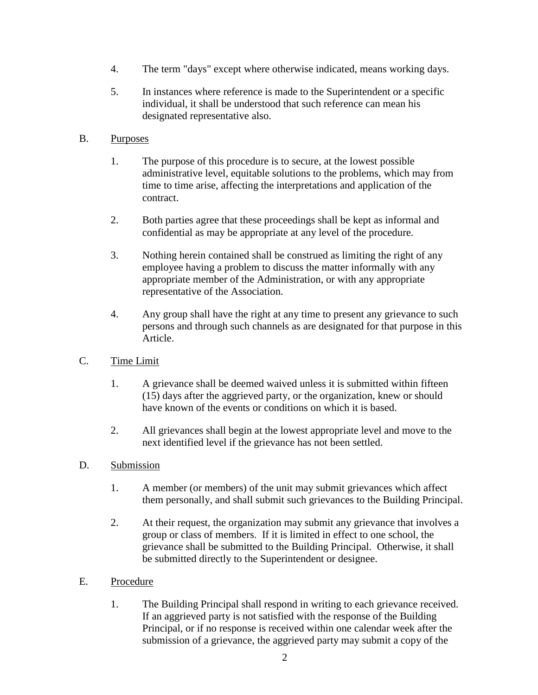- 4. The term "days" except where otherwise indicated, means working days.
- 5. In instances where reference is made to the Superintendent or a specific individual, it shall be understood that such reference can mean his designated representative also.

## B. Purposes

- 1. The purpose of this procedure is to secure, at the lowest possible administrative level, equitable solutions to the problems, which may from time to time arise, affecting the interpretations and application of the contract.
- 2. Both parties agree that these proceedings shall be kept as informal and confidential as may be appropriate at any level of the procedure.
- 3. Nothing herein contained shall be construed as limiting the right of any employee having a problem to discuss the matter informally with any appropriate member of the Administration, or with any appropriate representative of the Association.
- 4. Any group shall have the right at any time to present any grievance to such persons and through such channels as are designated for that purpose in this Article.

# C. Time Limit

- 1. A grievance shall be deemed waived unless it is submitted within fifteen (15) days after the aggrieved party, or the organization, knew or should have known of the events or conditions on which it is based.
- 2. All grievances shall begin at the lowest appropriate level and move to the next identified level if the grievance has not been settled.

# D. Submission

- 1. A member (or members) of the unit may submit grievances which affect them personally, and shall submit such grievances to the Building Principal.
- 2. At their request, the organization may submit any grievance that involves a group or class of members. If it is limited in effect to one school, the grievance shall be submitted to the Building Principal. Otherwise, it shall be submitted directly to the Superintendent or designee.
- E. Procedure
	- 1. The Building Principal shall respond in writing to each grievance received. If an aggrieved party is not satisfied with the response of the Building Principal, or if no response is received within one calendar week after the submission of a grievance, the aggrieved party may submit a copy of the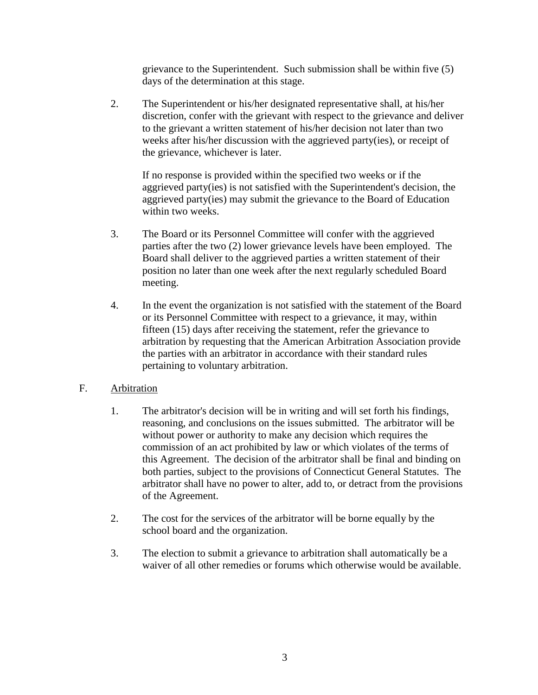grievance to the Superintendent. Such submission shall be within five (5) days of the determination at this stage.

2. The Superintendent or his/her designated representative shall, at his/her discretion, confer with the grievant with respect to the grievance and deliver to the grievant a written statement of his/her decision not later than two weeks after his/her discussion with the aggrieved party(ies), or receipt of the grievance, whichever is later.

If no response is provided within the specified two weeks or if the aggrieved party(ies) is not satisfied with the Superintendent's decision, the aggrieved party(ies) may submit the grievance to the Board of Education within two weeks.

- 3. The Board or its Personnel Committee will confer with the aggrieved parties after the two (2) lower grievance levels have been employed. The Board shall deliver to the aggrieved parties a written statement of their position no later than one week after the next regularly scheduled Board meeting.
- 4. In the event the organization is not satisfied with the statement of the Board or its Personnel Committee with respect to a grievance, it may, within fifteen (15) days after receiving the statement, refer the grievance to arbitration by requesting that the American Arbitration Association provide the parties with an arbitrator in accordance with their standard rules pertaining to voluntary arbitration.

## F. Arbitration

- 1. The arbitrator's decision will be in writing and will set forth his findings, reasoning, and conclusions on the issues submitted. The arbitrator will be without power or authority to make any decision which requires the commission of an act prohibited by law or which violates of the terms of this Agreement. The decision of the arbitrator shall be final and binding on both parties, subject to the provisions of Connecticut General Statutes. The arbitrator shall have no power to alter, add to, or detract from the provisions of the Agreement.
- 2. The cost for the services of the arbitrator will be borne equally by the school board and the organization.
- 3. The election to submit a grievance to arbitration shall automatically be a waiver of all other remedies or forums which otherwise would be available.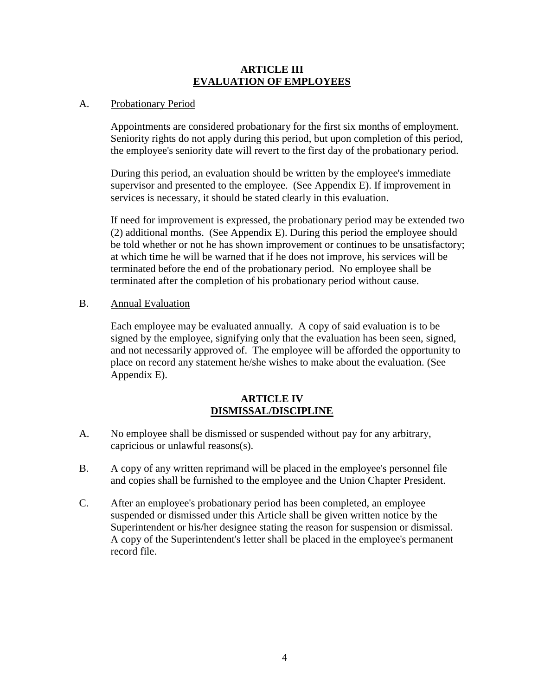#### **ARTICLE III EVALUATION OF EMPLOYEES**

### A. Probationary Period

Appointments are considered probationary for the first six months of employment. Seniority rights do not apply during this period, but upon completion of this period, the employee's seniority date will revert to the first day of the probationary period.

During this period, an evaluation should be written by the employee's immediate supervisor and presented to the employee. (See Appendix E). If improvement in services is necessary, it should be stated clearly in this evaluation.

If need for improvement is expressed, the probationary period may be extended two (2) additional months. (See Appendix E). During this period the employee should be told whether or not he has shown improvement or continues to be unsatisfactory; at which time he will be warned that if he does not improve, his services will be terminated before the end of the probationary period. No employee shall be terminated after the completion of his probationary period without cause.

#### B. Annual Evaluation

Each employee may be evaluated annually. A copy of said evaluation is to be signed by the employee, signifying only that the evaluation has been seen, signed, and not necessarily approved of. The employee will be afforded the opportunity to place on record any statement he/she wishes to make about the evaluation. (See Appendix E).

#### **ARTICLE IV DISMISSAL/DISCIPLINE**

- A. No employee shall be dismissed or suspended without pay for any arbitrary, capricious or unlawful reasons(s).
- B. A copy of any written reprimand will be placed in the employee's personnel file and copies shall be furnished to the employee and the Union Chapter President.
- C. After an employee's probationary period has been completed, an employee suspended or dismissed under this Article shall be given written notice by the Superintendent or his/her designee stating the reason for suspension or dismissal. A copy of the Superintendent's letter shall be placed in the employee's permanent record file.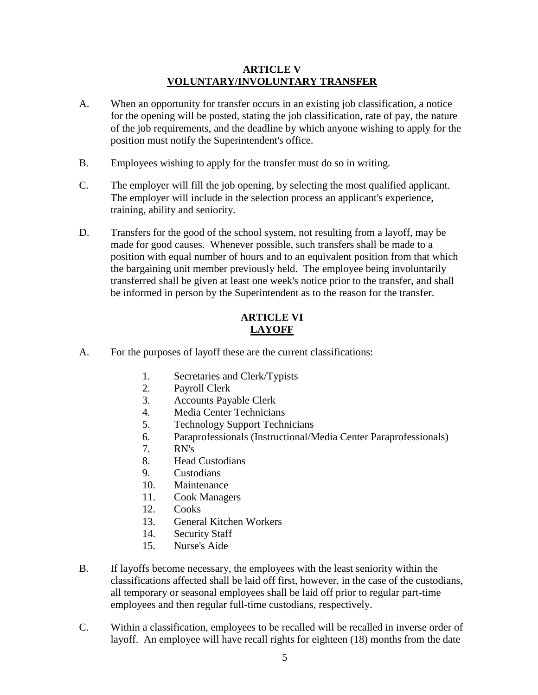### **ARTICLE V VOLUNTARY/INVOLUNTARY TRANSFER**

- A. When an opportunity for transfer occurs in an existing job classification, a notice for the opening will be posted, stating the job classification, rate of pay, the nature of the job requirements, and the deadline by which anyone wishing to apply for the position must notify the Superintendent's office.
- B. Employees wishing to apply for the transfer must do so in writing.
- C. The employer will fill the job opening, by selecting the most qualified applicant. The employer will include in the selection process an applicant's experience, training, ability and seniority.
- D. Transfers for the good of the school system, not resulting from a layoff, may be made for good causes. Whenever possible, such transfers shall be made to a position with equal number of hours and to an equivalent position from that which the bargaining unit member previously held. The employee being involuntarily transferred shall be given at least one week's notice prior to the transfer, and shall be informed in person by the Superintendent as to the reason for the transfer.

### **ARTICLE VI LAYOFF**

- A. For the purposes of layoff these are the current classifications:
	- 1. Secretaries and Clerk/Typists
	- 2. Payroll Clerk
	- 3. Accounts Payable Clerk
	- 4. Media Center Technicians
	- 5. Technology Support Technicians
	- 6. Paraprofessionals (Instructional/Media Center Paraprofessionals)
	- 7. RN's
	- 8. Head Custodians
	- 9. Custodians
	- 10. Maintenance
	- 11. Cook Managers
	- 12. Cooks
	- 13. General Kitchen Workers
	- 14. Security Staff
	- 15. Nurse's Aide
- B. If layoffs become necessary, the employees with the least seniority within the classifications affected shall be laid off first, however, in the case of the custodians, all temporary or seasonal employees shall be laid off prior to regular part-time employees and then regular full-time custodians, respectively.
- C. Within a classification, employees to be recalled will be recalled in inverse order of layoff. An employee will have recall rights for eighteen (18) months from the date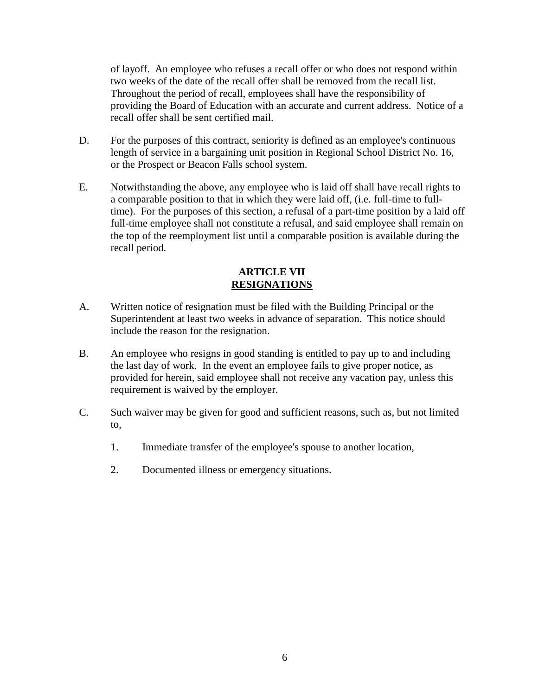of layoff. An employee who refuses a recall offer or who does not respond within two weeks of the date of the recall offer shall be removed from the recall list. Throughout the period of recall, employees shall have the responsibility of providing the Board of Education with an accurate and current address. Notice of a recall offer shall be sent certified mail.

- D. For the purposes of this contract, seniority is defined as an employee's continuous length of service in a bargaining unit position in Regional School District No. 16, or the Prospect or Beacon Falls school system.
- E. Notwithstanding the above, any employee who is laid off shall have recall rights to a comparable position to that in which they were laid off, (i.e. full-time to fulltime). For the purposes of this section, a refusal of a part-time position by a laid off full-time employee shall not constitute a refusal, and said employee shall remain on the top of the reemployment list until a comparable position is available during the recall period.

## **ARTICLE VII RESIGNATIONS**

- A. Written notice of resignation must be filed with the Building Principal or the Superintendent at least two weeks in advance of separation. This notice should include the reason for the resignation.
- B. An employee who resigns in good standing is entitled to pay up to and including the last day of work. In the event an employee fails to give proper notice, as provided for herein, said employee shall not receive any vacation pay, unless this requirement is waived by the employer.
- C. Such waiver may be given for good and sufficient reasons, such as, but not limited to,
	- 1. Immediate transfer of the employee's spouse to another location,
	- 2. Documented illness or emergency situations.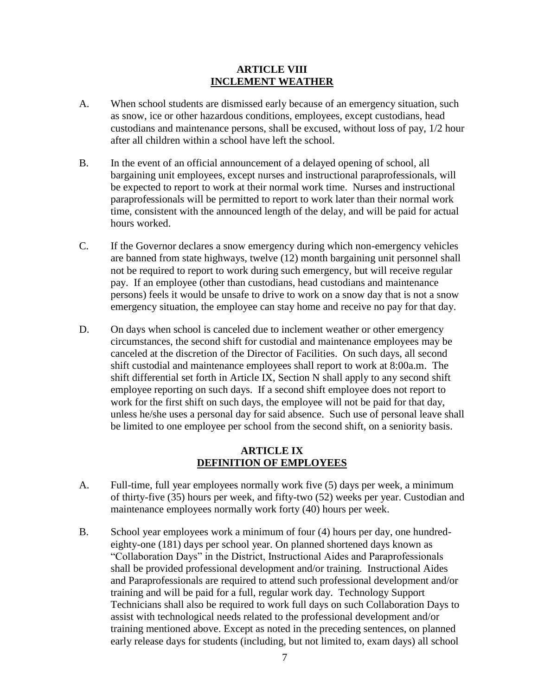#### **ARTICLE VIII INCLEMENT WEATHER**

- A. When school students are dismissed early because of an emergency situation, such as snow, ice or other hazardous conditions, employees, except custodians, head custodians and maintenance persons, shall be excused, without loss of pay, 1/2 hour after all children within a school have left the school.
- B. In the event of an official announcement of a delayed opening of school, all bargaining unit employees, except nurses and instructional paraprofessionals, will be expected to report to work at their normal work time. Nurses and instructional paraprofessionals will be permitted to report to work later than their normal work time, consistent with the announced length of the delay, and will be paid for actual hours worked.
- C. If the Governor declares a snow emergency during which non-emergency vehicles are banned from state highways, twelve (12) month bargaining unit personnel shall not be required to report to work during such emergency, but will receive regular pay. If an employee (other than custodians, head custodians and maintenance persons) feels it would be unsafe to drive to work on a snow day that is not a snow emergency situation, the employee can stay home and receive no pay for that day.
- D. On days when school is canceled due to inclement weather or other emergency circumstances, the second shift for custodial and maintenance employees may be canceled at the discretion of the Director of Facilities. On such days, all second shift custodial and maintenance employees shall report to work at 8:00a.m. The shift differential set forth in Article IX, Section N shall apply to any second shift employee reporting on such days. If a second shift employee does not report to work for the first shift on such days, the employee will not be paid for that day, unless he/she uses a personal day for said absence. Such use of personal leave shall be limited to one employee per school from the second shift, on a seniority basis.

#### **ARTICLE IX DEFINITION OF EMPLOYEES**

- A. Full-time, full year employees normally work five (5) days per week, a minimum of thirty-five (35) hours per week, and fifty-two (52) weeks per year. Custodian and maintenance employees normally work forty (40) hours per week.
- B. School year employees work a minimum of four (4) hours per day, one hundredeighty-one (181) days per school year. On planned shortened days known as "Collaboration Days" in the District, Instructional Aides and Paraprofessionals shall be provided professional development and/or training. Instructional Aides and Paraprofessionals are required to attend such professional development and/or training and will be paid for a full, regular work day. Technology Support Technicians shall also be required to work full days on such Collaboration Days to assist with technological needs related to the professional development and/or training mentioned above. Except as noted in the preceding sentences, on planned early release days for students (including, but not limited to, exam days) all school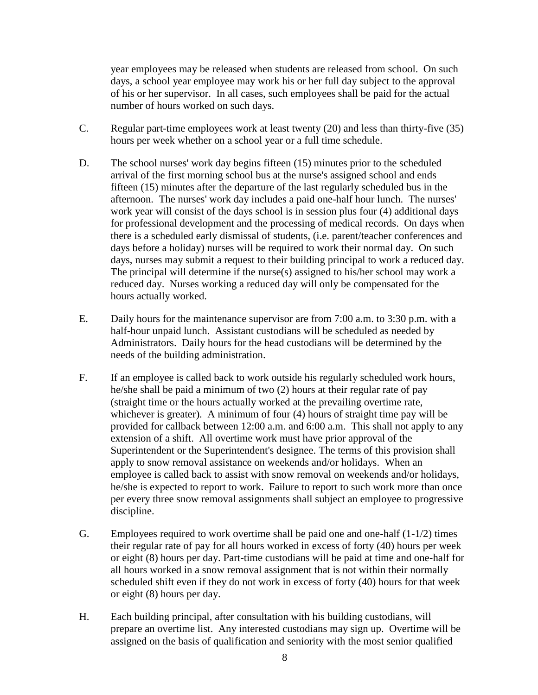year employees may be released when students are released from school. On such days, a school year employee may work his or her full day subject to the approval of his or her supervisor. In all cases, such employees shall be paid for the actual number of hours worked on such days.

- C. Regular part-time employees work at least twenty (20) and less than thirty-five (35) hours per week whether on a school year or a full time schedule.
- D. The school nurses' work day begins fifteen (15) minutes prior to the scheduled arrival of the first morning school bus at the nurse's assigned school and ends fifteen (15) minutes after the departure of the last regularly scheduled bus in the afternoon. The nurses' work day includes a paid one-half hour lunch. The nurses' work year will consist of the days school is in session plus four (4) additional days for professional development and the processing of medical records. On days when there is a scheduled early dismissal of students, (i.e. parent/teacher conferences and days before a holiday) nurses will be required to work their normal day. On such days, nurses may submit a request to their building principal to work a reduced day. The principal will determine if the nurse(s) assigned to his/her school may work a reduced day. Nurses working a reduced day will only be compensated for the hours actually worked.
- E. Daily hours for the maintenance supervisor are from 7:00 a.m. to 3:30 p.m. with a half-hour unpaid lunch. Assistant custodians will be scheduled as needed by Administrators. Daily hours for the head custodians will be determined by the needs of the building administration.
- F. If an employee is called back to work outside his regularly scheduled work hours, he/she shall be paid a minimum of two (2) hours at their regular rate of pay (straight time or the hours actually worked at the prevailing overtime rate, whichever is greater). A minimum of four (4) hours of straight time pay will be provided for callback between 12:00 a.m. and 6:00 a.m. This shall not apply to any extension of a shift. All overtime work must have prior approval of the Superintendent or the Superintendent's designee. The terms of this provision shall apply to snow removal assistance on weekends and/or holidays. When an employee is called back to assist with snow removal on weekends and/or holidays, he/she is expected to report to work. Failure to report to such work more than once per every three snow removal assignments shall subject an employee to progressive discipline.
- G. Employees required to work overtime shall be paid one and one-half (1-1/2) times their regular rate of pay for all hours worked in excess of forty (40) hours per week or eight (8) hours per day. Part-time custodians will be paid at time and one-half for all hours worked in a snow removal assignment that is not within their normally scheduled shift even if they do not work in excess of forty (40) hours for that week or eight (8) hours per day.
- H. Each building principal, after consultation with his building custodians, will prepare an overtime list. Any interested custodians may sign up. Overtime will be assigned on the basis of qualification and seniority with the most senior qualified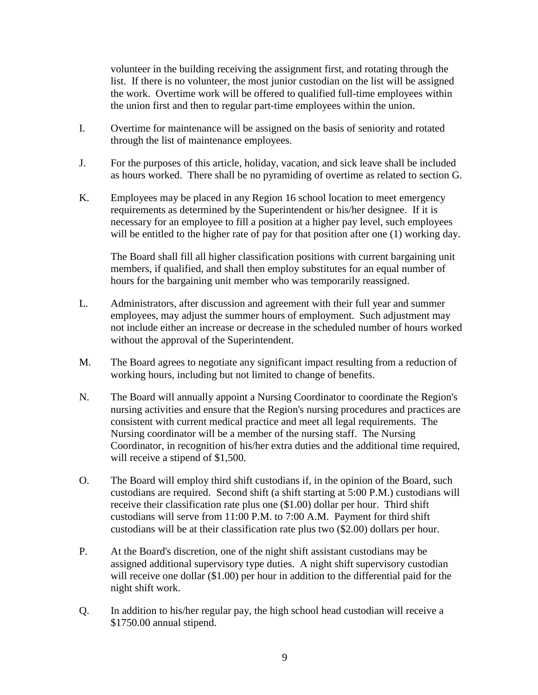volunteer in the building receiving the assignment first, and rotating through the list. If there is no volunteer, the most junior custodian on the list will be assigned the work. Overtime work will be offered to qualified full-time employees within the union first and then to regular part-time employees within the union.

- I. Overtime for maintenance will be assigned on the basis of seniority and rotated through the list of maintenance employees.
- J. For the purposes of this article, holiday, vacation, and sick leave shall be included as hours worked. There shall be no pyramiding of overtime as related to section G.
- K. Employees may be placed in any Region 16 school location to meet emergency requirements as determined by the Superintendent or his/her designee. If it is necessary for an employee to fill a position at a higher pay level, such employees will be entitled to the higher rate of pay for that position after one (1) working day.

The Board shall fill all higher classification positions with current bargaining unit members, if qualified, and shall then employ substitutes for an equal number of hours for the bargaining unit member who was temporarily reassigned.

- L. Administrators, after discussion and agreement with their full year and summer employees, may adjust the summer hours of employment. Such adjustment may not include either an increase or decrease in the scheduled number of hours worked without the approval of the Superintendent.
- M. The Board agrees to negotiate any significant impact resulting from a reduction of working hours, including but not limited to change of benefits.
- N. The Board will annually appoint a Nursing Coordinator to coordinate the Region's nursing activities and ensure that the Region's nursing procedures and practices are consistent with current medical practice and meet all legal requirements. The Nursing coordinator will be a member of the nursing staff. The Nursing Coordinator, in recognition of his/her extra duties and the additional time required, will receive a stipend of \$1,500.
- O. The Board will employ third shift custodians if, in the opinion of the Board, such custodians are required. Second shift (a shift starting at 5:00 P.M.) custodians will receive their classification rate plus one (\$1.00) dollar per hour. Third shift custodians will serve from 11:00 P.M. to 7:00 A.M. Payment for third shift custodians will be at their classification rate plus two (\$2.00) dollars per hour.
- P. At the Board's discretion, one of the night shift assistant custodians may be assigned additional supervisory type duties. A night shift supervisory custodian will receive one dollar (\$1.00) per hour in addition to the differential paid for the night shift work.
- Q. In addition to his/her regular pay, the high school head custodian will receive a \$1750.00 annual stipend.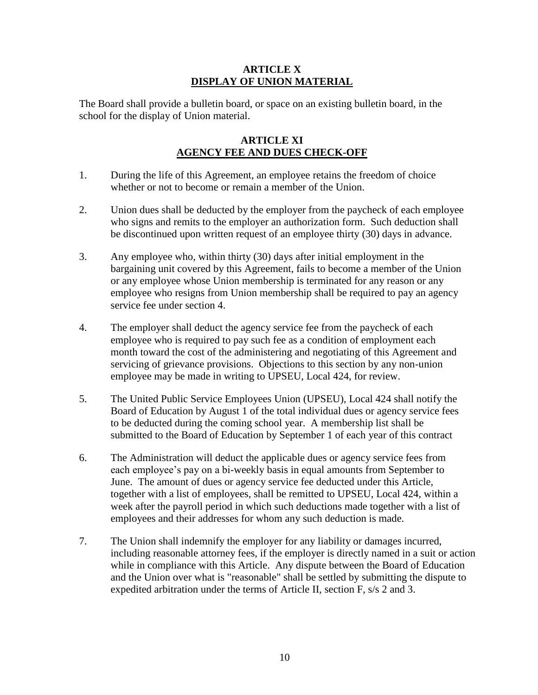## **ARTICLE X DISPLAY OF UNION MATERIAL**

The Board shall provide a bulletin board, or space on an existing bulletin board, in the school for the display of Union material.

## **ARTICLE XI AGENCY FEE AND DUES CHECK-OFF**

- 1. During the life of this Agreement, an employee retains the freedom of choice whether or not to become or remain a member of the Union.
- 2. Union dues shall be deducted by the employer from the paycheck of each employee who signs and remits to the employer an authorization form. Such deduction shall be discontinued upon written request of an employee thirty (30) days in advance.
- 3. Any employee who, within thirty (30) days after initial employment in the bargaining unit covered by this Agreement, fails to become a member of the Union or any employee whose Union membership is terminated for any reason or any employee who resigns from Union membership shall be required to pay an agency service fee under section 4.
- 4. The employer shall deduct the agency service fee from the paycheck of each employee who is required to pay such fee as a condition of employment each month toward the cost of the administering and negotiating of this Agreement and servicing of grievance provisions. Objections to this section by any non-union employee may be made in writing to UPSEU, Local 424, for review.
- 5. The United Public Service Employees Union (UPSEU), Local 424 shall notify the Board of Education by August 1 of the total individual dues or agency service fees to be deducted during the coming school year. A membership list shall be submitted to the Board of Education by September 1 of each year of this contract
- 6. The Administration will deduct the applicable dues or agency service fees from each employee's pay on a bi-weekly basis in equal amounts from September to June. The amount of dues or agency service fee deducted under this Article, together with a list of employees, shall be remitted to UPSEU, Local 424, within a week after the payroll period in which such deductions made together with a list of employees and their addresses for whom any such deduction is made.
- 7. The Union shall indemnify the employer for any liability or damages incurred, including reasonable attorney fees, if the employer is directly named in a suit or action while in compliance with this Article. Any dispute between the Board of Education and the Union over what is "reasonable" shall be settled by submitting the dispute to expedited arbitration under the terms of Article II, section F, s/s 2 and 3.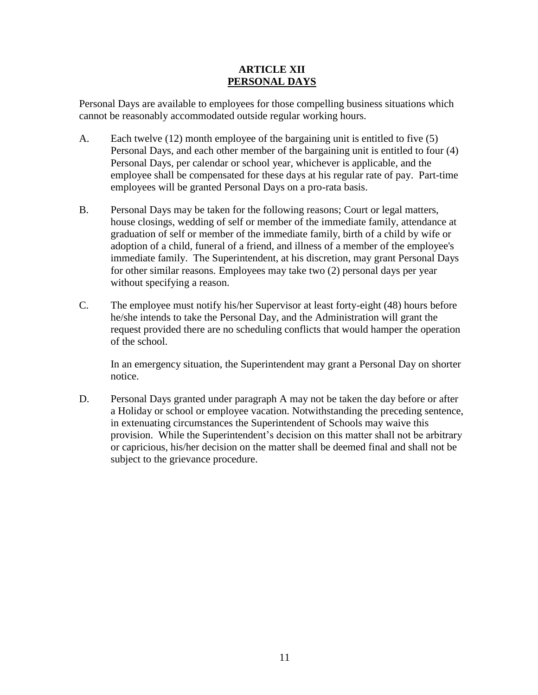## **ARTICLE XII PERSONAL DAYS**

Personal Days are available to employees for those compelling business situations which cannot be reasonably accommodated outside regular working hours.

- A. Each twelve (12) month employee of the bargaining unit is entitled to five (5) Personal Days, and each other member of the bargaining unit is entitled to four (4) Personal Days, per calendar or school year, whichever is applicable, and the employee shall be compensated for these days at his regular rate of pay. Part-time employees will be granted Personal Days on a pro-rata basis.
- B. Personal Days may be taken for the following reasons; Court or legal matters, house closings, wedding of self or member of the immediate family, attendance at graduation of self or member of the immediate family, birth of a child by wife or adoption of a child, funeral of a friend, and illness of a member of the employee's immediate family. The Superintendent, at his discretion, may grant Personal Days for other similar reasons. Employees may take two (2) personal days per year without specifying a reason.
- C. The employee must notify his/her Supervisor at least forty-eight (48) hours before he/she intends to take the Personal Day, and the Administration will grant the request provided there are no scheduling conflicts that would hamper the operation of the school.

In an emergency situation, the Superintendent may grant a Personal Day on shorter notice.

D. Personal Days granted under paragraph A may not be taken the day before or after a Holiday or school or employee vacation. Notwithstanding the preceding sentence, in extenuating circumstances the Superintendent of Schools may waive this provision. While the Superintendent's decision on this matter shall not be arbitrary or capricious, his/her decision on the matter shall be deemed final and shall not be subject to the grievance procedure.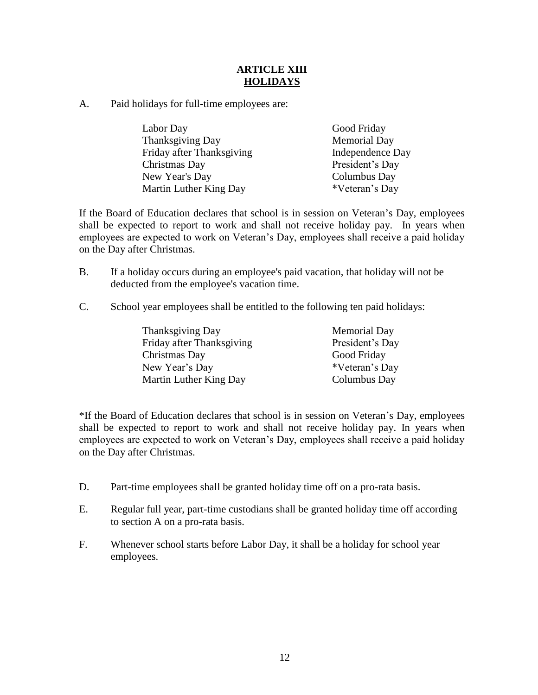## **ARTICLE XIII HOLIDAYS**

A. Paid holidays for full-time employees are:

| Labor Day                 | Good Friday         |
|---------------------------|---------------------|
| Thanksgiving Day          | <b>Memorial Day</b> |
| Friday after Thanksgiving | Independence Day    |
| Christmas Day             | President's Day     |
| New Year's Day            | Columbus Day        |
| Martin Luther King Day    | *Veteran's Day      |

If the Board of Education declares that school is in session on Veteran's Day, employees shall be expected to report to work and shall not receive holiday pay. In years when employees are expected to work on Veteran's Day, employees shall receive a paid holiday on the Day after Christmas.

- B. If a holiday occurs during an employee's paid vacation, that holiday will not be deducted from the employee's vacation time.
- C. School year employees shall be entitled to the following ten paid holidays:

| <b>Thanksgiving Day</b>   | <b>Memorial Day</b> |
|---------------------------|---------------------|
| Friday after Thanksgiving | President's Day     |
| Christmas Day             | Good Friday         |
| New Year's Day            | *Veteran's Day      |
| Martin Luther King Day    | Columbus Day        |

\*If the Board of Education declares that school is in session on Veteran's Day, employees shall be expected to report to work and shall not receive holiday pay. In years when employees are expected to work on Veteran's Day, employees shall receive a paid holiday on the Day after Christmas.

- D. Part-time employees shall be granted holiday time off on a pro-rata basis.
- E. Regular full year, part-time custodians shall be granted holiday time off according to section A on a pro-rata basis.
- F. Whenever school starts before Labor Day, it shall be a holiday for school year employees.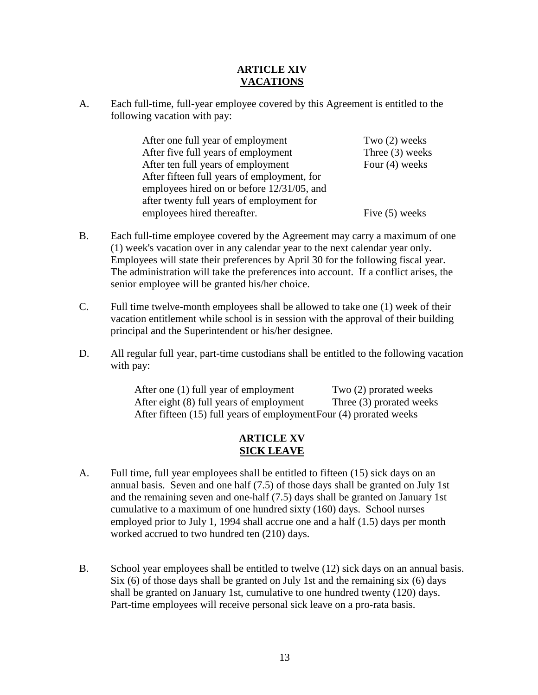## **ARTICLE XIV VACATIONS**

A. Each full-time, full-year employee covered by this Agreement is entitled to the following vacation with pay:

> After one full year of employment Two (2) weeks After five full years of employment Three (3) weeks After ten full years of employment Four (4) weeks After fifteen full years of employment, for employees hired on or before 12/31/05, and after twenty full years of employment for employees hired thereafter. Five (5) weeks

- B. Each full-time employee covered by the Agreement may carry a maximum of one (1) week's vacation over in any calendar year to the next calendar year only. Employees will state their preferences by April 30 for the following fiscal year. The administration will take the preferences into account. If a conflict arises, the senior employee will be granted his/her choice.
- C. Full time twelve-month employees shall be allowed to take one (1) week of their vacation entitlement while school is in session with the approval of their building principal and the Superintendent or his/her designee.
- D. All regular full year, part-time custodians shall be entitled to the following vacation with pay:

After one (1) full year of employment Two (2) prorated weeks After eight (8) full years of employment Three (3) prorated weeks After fifteen (15) full years of employmentFour (4) prorated weeks

## **ARTICLE XV SICK LEAVE**

- A. Full time, full year employees shall be entitled to fifteen (15) sick days on an annual basis. Seven and one half (7.5) of those days shall be granted on July 1st and the remaining seven and one-half (7.5) days shall be granted on January 1st cumulative to a maximum of one hundred sixty (160) days. School nurses employed prior to July 1, 1994 shall accrue one and a half (1.5) days per month worked accrued to two hundred ten (210) days.
- B. School year employees shall be entitled to twelve (12) sick days on an annual basis. Six  $(6)$  of those days shall be granted on July 1st and the remaining six  $(6)$  days shall be granted on January 1st, cumulative to one hundred twenty (120) days. Part-time employees will receive personal sick leave on a pro-rata basis.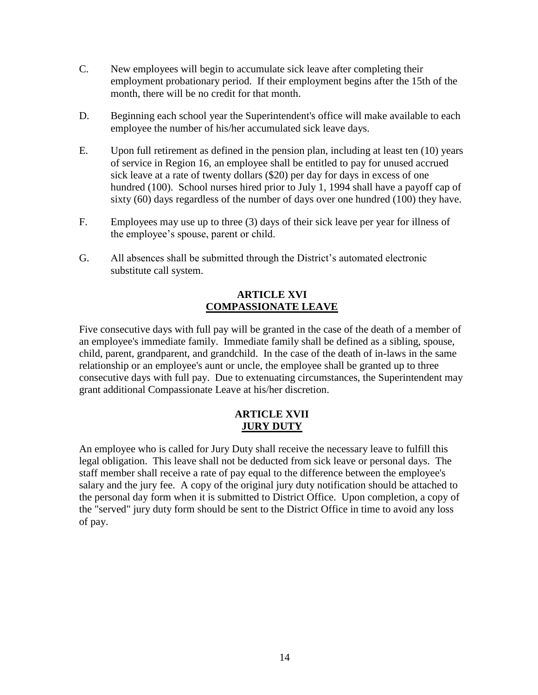- C. New employees will begin to accumulate sick leave after completing their employment probationary period. If their employment begins after the 15th of the month, there will be no credit for that month.
- D. Beginning each school year the Superintendent's office will make available to each employee the number of his/her accumulated sick leave days.
- E. Upon full retirement as defined in the pension plan, including at least ten (10) years of service in Region 16, an employee shall be entitled to pay for unused accrued sick leave at a rate of twenty dollars (\$20) per day for days in excess of one hundred (100). School nurses hired prior to July 1, 1994 shall have a payoff cap of sixty (60) days regardless of the number of days over one hundred (100) they have.
- F. Employees may use up to three (3) days of their sick leave per year for illness of the employee's spouse, parent or child.
- G. All absences shall be submitted through the District's automated electronic substitute call system.

## **ARTICLE XVI COMPASSIONATE LEAVE**

Five consecutive days with full pay will be granted in the case of the death of a member of an employee's immediate family. Immediate family shall be defined as a sibling, spouse, child, parent, grandparent, and grandchild. In the case of the death of in-laws in the same relationship or an employee's aunt or uncle, the employee shall be granted up to three consecutive days with full pay. Due to extenuating circumstances, the Superintendent may grant additional Compassionate Leave at his/her discretion.

## **ARTICLE XVII JURY DUTY**

An employee who is called for Jury Duty shall receive the necessary leave to fulfill this legal obligation. This leave shall not be deducted from sick leave or personal days. The staff member shall receive a rate of pay equal to the difference between the employee's salary and the jury fee. A copy of the original jury duty notification should be attached to the personal day form when it is submitted to District Office. Upon completion, a copy of the "served" jury duty form should be sent to the District Office in time to avoid any loss of pay.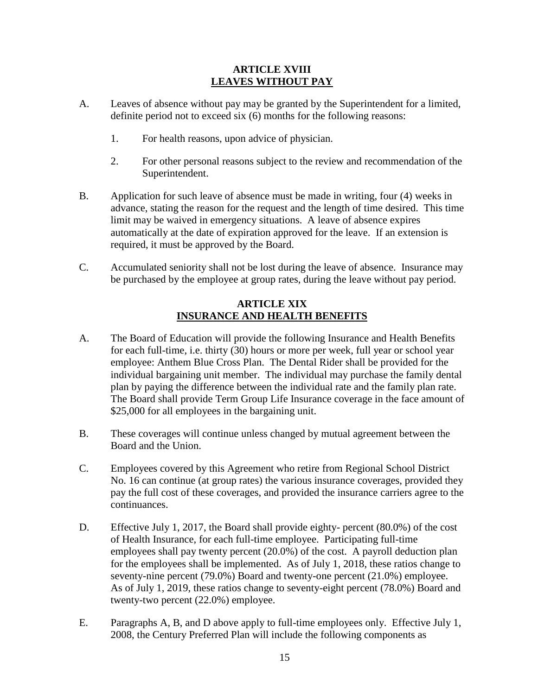### **ARTICLE XVIII LEAVES WITHOUT PAY**

- A. Leaves of absence without pay may be granted by the Superintendent for a limited, definite period not to exceed six (6) months for the following reasons:
	- 1. For health reasons, upon advice of physician.
	- 2. For other personal reasons subject to the review and recommendation of the Superintendent.
- B. Application for such leave of absence must be made in writing, four (4) weeks in advance, stating the reason for the request and the length of time desired. This time limit may be waived in emergency situations. A leave of absence expires automatically at the date of expiration approved for the leave. If an extension is required, it must be approved by the Board.
- C. Accumulated seniority shall not be lost during the leave of absence. Insurance may be purchased by the employee at group rates, during the leave without pay period.

#### **ARTICLE XIX INSURANCE AND HEALTH BENEFITS**

- A. The Board of Education will provide the following Insurance and Health Benefits for each full-time, i.e. thirty (30) hours or more per week, full year or school year employee: Anthem Blue Cross Plan. The Dental Rider shall be provided for the individual bargaining unit member. The individual may purchase the family dental plan by paying the difference between the individual rate and the family plan rate. The Board shall provide Term Group Life Insurance coverage in the face amount of \$25,000 for all employees in the bargaining unit.
- B. These coverages will continue unless changed by mutual agreement between the Board and the Union.
- C. Employees covered by this Agreement who retire from Regional School District No. 16 can continue (at group rates) the various insurance coverages, provided they pay the full cost of these coverages, and provided the insurance carriers agree to the continuances.
- D. Effective July 1, 2017, the Board shall provide eighty- percent (80.0%) of the cost of Health Insurance, for each full-time employee. Participating full-time employees shall pay twenty percent (20.0%) of the cost. A payroll deduction plan for the employees shall be implemented. As of July 1, 2018, these ratios change to seventy-nine percent (79.0%) Board and twenty-one percent (21.0%) employee. As of July 1, 2019, these ratios change to seventy-eight percent (78.0%) Board and twenty-two percent (22.0%) employee.
- E. Paragraphs A, B, and D above apply to full-time employees only. Effective July 1, 2008, the Century Preferred Plan will include the following components as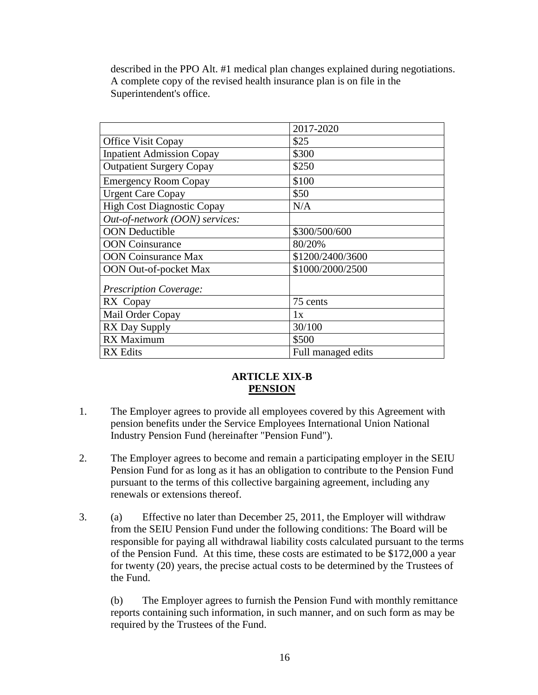described in the PPO Alt. #1 medical plan changes explained during negotiations. A complete copy of the revised health insurance plan is on file in the Superintendent's office.

|                                   | 2017-2020          |
|-----------------------------------|--------------------|
| Office Visit Copay                | \$25               |
| <b>Inpatient Admission Copay</b>  | \$300              |
| <b>Outpatient Surgery Copay</b>   | \$250              |
| <b>Emergency Room Copay</b>       | \$100              |
| <b>Urgent Care Copay</b>          | \$50               |
| <b>High Cost Diagnostic Copay</b> | N/A                |
| Out-of-network (OON) services:    |                    |
| <b>OON</b> Deductible             | \$300/500/600      |
| <b>OON</b> Coinsurance            | 80/20%             |
| <b>OON</b> Coinsurance Max        | \$1200/2400/3600   |
| <b>OON</b> Out-of-pocket Max      | \$1000/2000/2500   |
| <b>Prescription Coverage:</b>     |                    |
| RX Copay                          | 75 cents           |
| Mail Order Copay                  | 1x                 |
| <b>RX Day Supply</b>              | 30/100             |
| <b>RX</b> Maximum                 | \$500              |
| <b>RX</b> Edits                   | Full managed edits |

## **ARTICLE XIX-B PENSION**

- 1. The Employer agrees to provide all employees covered by this Agreement with pension benefits under the Service Employees International Union National Industry Pension Fund (hereinafter "Pension Fund").
- 2. The Employer agrees to become and remain a participating employer in the SEIU Pension Fund for as long as it has an obligation to contribute to the Pension Fund pursuant to the terms of this collective bargaining agreement, including any renewals or extensions thereof.
- 3. (a) Effective no later than December 25, 2011, the Employer will withdraw from the SEIU Pension Fund under the following conditions: The Board will be responsible for paying all withdrawal liability costs calculated pursuant to the terms of the Pension Fund. At this time, these costs are estimated to be \$172,000 a year for twenty (20) years, the precise actual costs to be determined by the Trustees of the Fund.

(b) The Employer agrees to furnish the Pension Fund with monthly remittance reports containing such information, in such manner, and on such form as may be required by the Trustees of the Fund.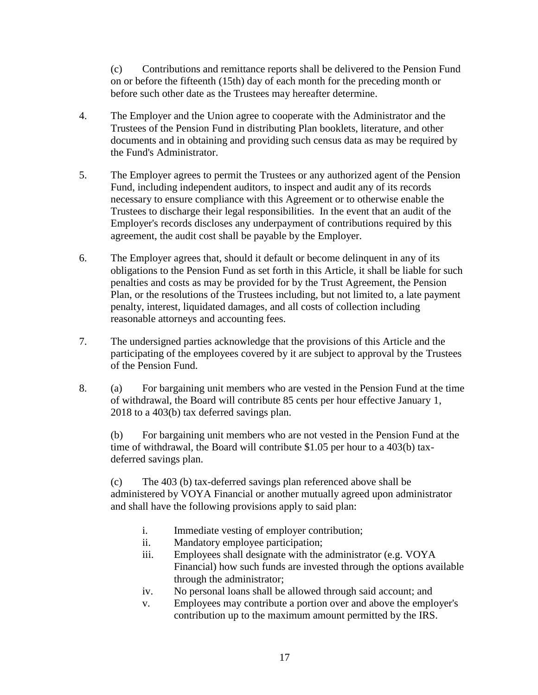(c) Contributions and remittance reports shall be delivered to the Pension Fund on or before the fifteenth (15th) day of each month for the preceding month or before such other date as the Trustees may hereafter determine.

- 4. The Employer and the Union agree to cooperate with the Administrator and the Trustees of the Pension Fund in distributing Plan booklets, literature, and other documents and in obtaining and providing such census data as may be required by the Fund's Administrator.
- 5. The Employer agrees to permit the Trustees or any authorized agent of the Pension Fund, including independent auditors, to inspect and audit any of its records necessary to ensure compliance with this Agreement or to otherwise enable the Trustees to discharge their legal responsibilities. In the event that an audit of the Employer's records discloses any underpayment of contributions required by this agreement, the audit cost shall be payable by the Employer.
- 6. The Employer agrees that, should it default or become delinquent in any of its obligations to the Pension Fund as set forth in this Article, it shall be liable for such penalties and costs as may be provided for by the Trust Agreement, the Pension Plan, or the resolutions of the Trustees including, but not limited to, a late payment penalty, interest, liquidated damages, and all costs of collection including reasonable attorneys and accounting fees.
- 7. The undersigned parties acknowledge that the provisions of this Article and the participating of the employees covered by it are subject to approval by the Trustees of the Pension Fund.
- 8. (a) For bargaining unit members who are vested in the Pension Fund at the time of withdrawal, the Board will contribute 85 cents per hour effective January 1, 2018 to a 403(b) tax deferred savings plan.

(b) For bargaining unit members who are not vested in the Pension Fund at the time of withdrawal, the Board will contribute \$1.05 per hour to a 403(b) taxdeferred savings plan.

(c) The 403 (b) tax-deferred savings plan referenced above shall be administered by VOYA Financial or another mutually agreed upon administrator and shall have the following provisions apply to said plan:

- i. Immediate vesting of employer contribution;
- ii. Mandatory employee participation;
- iii. Employees shall designate with the administrator (e.g. VOYA Financial) how such funds are invested through the options available through the administrator;
- iv. No personal loans shall be allowed through said account; and
- v. Employees may contribute a portion over and above the employer's contribution up to the maximum amount permitted by the IRS.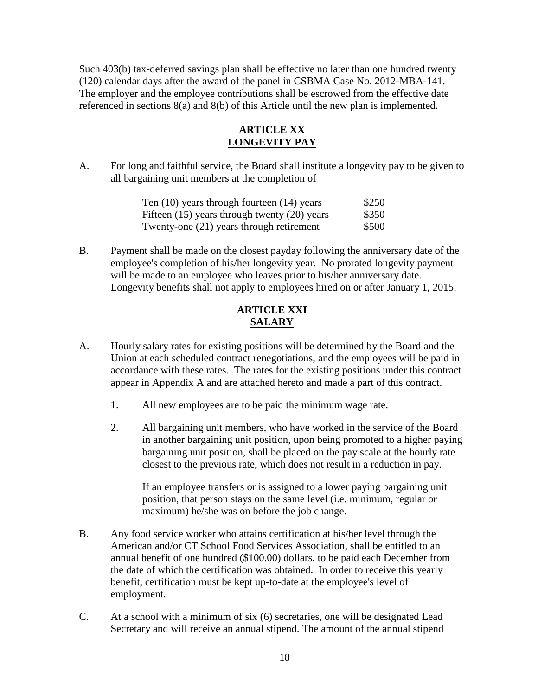Such 403(b) tax-deferred savings plan shall be effective no later than one hundred twenty (120) calendar days after the award of the panel in CSBMA Case No. 2012-MBA-141. The employer and the employee contributions shall be escrowed from the effective date referenced in sections 8(a) and 8(b) of this Article until the new plan is implemented.

## **ARTICLE XX LONGEVITY PAY**

A. For long and faithful service, the Board shall institute a longevity pay to be given to all bargaining unit members at the completion of

| Ten $(10)$ years through fourteen $(14)$ years   | \$250 |
|--------------------------------------------------|-------|
| Fifteen $(15)$ years through twenty $(20)$ years | \$350 |
| Twenty-one (21) years through retirement         | \$500 |

B. Payment shall be made on the closest payday following the anniversary date of the employee's completion of his/her longevity year. No prorated longevity payment will be made to an employee who leaves prior to his/her anniversary date. Longevity benefits shall not apply to employees hired on or after January 1, 2015.

## **ARTICLE XXI SALARY**

- A. Hourly salary rates for existing positions will be determined by the Board and the Union at each scheduled contract renegotiations, and the employees will be paid in accordance with these rates. The rates for the existing positions under this contract appear in Appendix A and are attached hereto and made a part of this contract.
	- 1. All new employees are to be paid the minimum wage rate.
	- 2. All bargaining unit members, who have worked in the service of the Board in another bargaining unit position, upon being promoted to a higher paying bargaining unit position, shall be placed on the pay scale at the hourly rate closest to the previous rate, which does not result in a reduction in pay.

If an employee transfers or is assigned to a lower paying bargaining unit position, that person stays on the same level (i.e. minimum, regular or maximum) he/she was on before the job change.

- B. Any food service worker who attains certification at his/her level through the American and/or CT School Food Services Association, shall be entitled to an annual benefit of one hundred (\$100.00) dollars, to be paid each December from the date of which the certification was obtained. In order to receive this yearly benefit, certification must be kept up-to-date at the employee's level of employment.
- C. At a school with a minimum of six (6) secretaries, one will be designated Lead Secretary and will receive an annual stipend. The amount of the annual stipend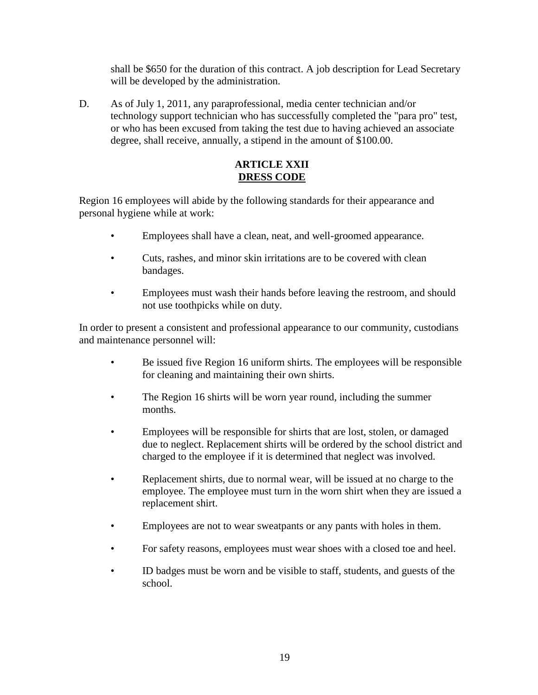shall be \$650 for the duration of this contract. A job description for Lead Secretary will be developed by the administration.

D. As of July 1, 2011, any paraprofessional, media center technician and/or technology support technician who has successfully completed the "para pro" test, or who has been excused from taking the test due to having achieved an associate degree, shall receive, annually, a stipend in the amount of \$100.00.

### **ARTICLE XXII DRESS CODE**

Region 16 employees will abide by the following standards for their appearance and personal hygiene while at work:

- Employees shall have a clean, neat, and well-groomed appearance.
- Cuts, rashes, and minor skin irritations are to be covered with clean bandages.
- Employees must wash their hands before leaving the restroom, and should not use toothpicks while on duty.

In order to present a consistent and professional appearance to our community, custodians and maintenance personnel will:

- Be issued five Region 16 uniform shirts. The employees will be responsible for cleaning and maintaining their own shirts.
- The Region 16 shirts will be worn year round, including the summer months.
- Employees will be responsible for shirts that are lost, stolen, or damaged due to neglect. Replacement shirts will be ordered by the school district and charged to the employee if it is determined that neglect was involved.
- Replacement shirts, due to normal wear, will be issued at no charge to the employee. The employee must turn in the worn shirt when they are issued a replacement shirt.
- Employees are not to wear sweatpants or any pants with holes in them.
- For safety reasons, employees must wear shoes with a closed toe and heel.
- ID badges must be worn and be visible to staff, students, and guests of the school.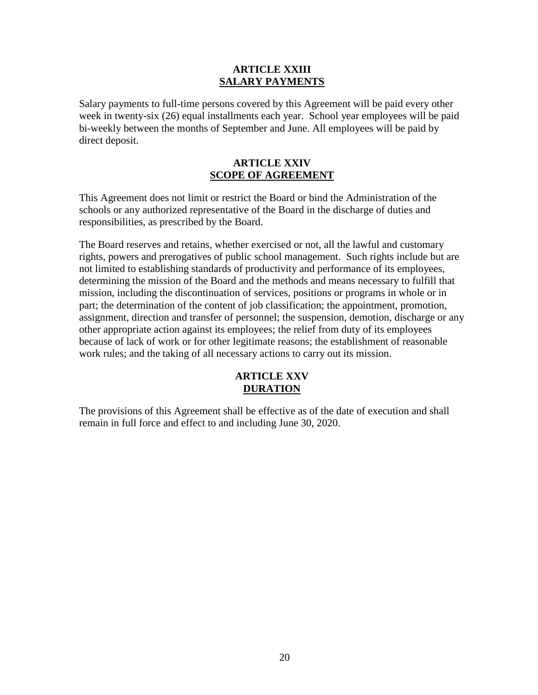#### **ARTICLE XXIII SALARY PAYMENTS**

Salary payments to full-time persons covered by this Agreement will be paid every other week in twenty-six (26) equal installments each year. School year employees will be paid bi-weekly between the months of September and June. All employees will be paid by direct deposit.

#### **ARTICLE XXIV SCOPE OF AGREEMENT**

This Agreement does not limit or restrict the Board or bind the Administration of the schools or any authorized representative of the Board in the discharge of duties and responsibilities, as prescribed by the Board.

The Board reserves and retains, whether exercised or not, all the lawful and customary rights, powers and prerogatives of public school management. Such rights include but are not limited to establishing standards of productivity and performance of its employees, determining the mission of the Board and the methods and means necessary to fulfill that mission, including the discontinuation of services, positions or programs in whole or in part; the determination of the content of job classification; the appointment, promotion, assignment, direction and transfer of personnel; the suspension, demotion, discharge or any other appropriate action against its employees; the relief from duty of its employees because of lack of work or for other legitimate reasons; the establishment of reasonable work rules; and the taking of all necessary actions to carry out its mission.

## **ARTICLE XXV DURATION**

The provisions of this Agreement shall be effective as of the date of execution and shall remain in full force and effect to and including June 30, 2020.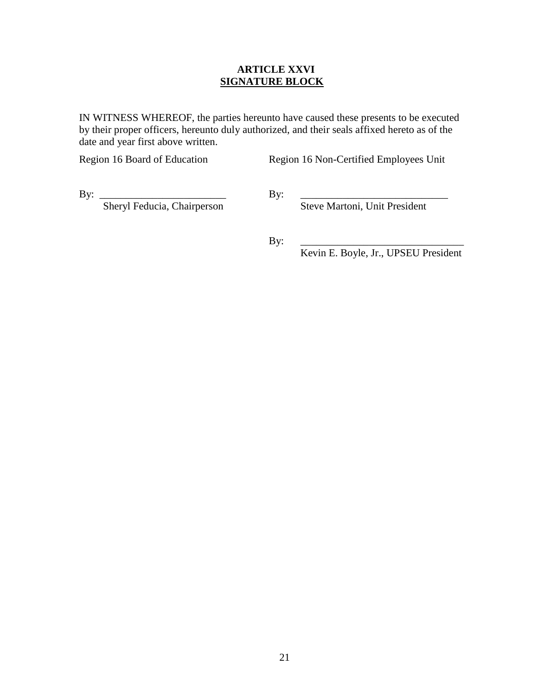#### **ARTICLE XXVI SIGNATURE BLOCK**

IN WITNESS WHEREOF, the parties hereunto have caused these presents to be executed by their proper officers, hereunto duly authorized, and their seals affixed hereto as of the date and year first above written.

Region 16 Board of Education Region 16 Non-Certified Employees Unit

Sheryl Feducia, Chairperson Steve Martoni, Unit President

By: \_\_\_\_\_\_\_\_\_\_\_\_\_\_\_\_\_\_\_\_\_\_\_\_ By: \_\_\_\_\_\_\_\_\_\_\_\_\_\_\_\_\_\_\_\_\_\_\_\_\_\_\_\_

By: \_\_\_\_\_\_\_\_\_\_\_\_\_\_\_\_\_\_\_\_\_\_\_\_\_\_\_\_\_\_\_

Kevin E. Boyle, Jr., UPSEU President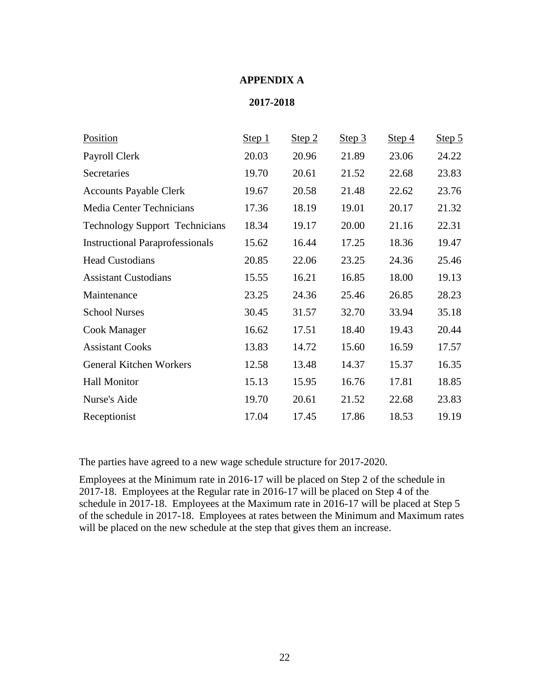#### **APPENDIX A**

#### **2017-2018**

| Position                               | Step 1 | Step 2 | Step 3 | Step 4 | Step 5 |
|----------------------------------------|--------|--------|--------|--------|--------|
| Payroll Clerk                          | 20.03  | 20.96  | 21.89  | 23.06  | 24.22  |
| Secretaries                            | 19.70  | 20.61  | 21.52  | 22.68  | 23.83  |
| <b>Accounts Payable Clerk</b>          | 19.67  | 20.58  | 21.48  | 22.62  | 23.76  |
| Media Center Technicians               | 17.36  | 18.19  | 19.01  | 20.17  | 21.32  |
| <b>Technology Support Technicians</b>  | 18.34  | 19.17  | 20.00  | 21.16  | 22.31  |
| <b>Instructional Paraprofessionals</b> | 15.62  | 16.44  | 17.25  | 18.36  | 19.47  |
| <b>Head Custodians</b>                 | 20.85  | 22.06  | 23.25  | 24.36  | 25.46  |
| <b>Assistant Custodians</b>            | 15.55  | 16.21  | 16.85  | 18.00  | 19.13  |
| Maintenance                            | 23.25  | 24.36  | 25.46  | 26.85  | 28.23  |
| <b>School Nurses</b>                   | 30.45  | 31.57  | 32.70  | 33.94  | 35.18  |
| Cook Manager                           | 16.62  | 17.51  | 18.40  | 19.43  | 20.44  |
| <b>Assistant Cooks</b>                 | 13.83  | 14.72  | 15.60  | 16.59  | 17.57  |
| <b>General Kitchen Workers</b>         | 12.58  | 13.48  | 14.37  | 15.37  | 16.35  |
| <b>Hall Monitor</b>                    | 15.13  | 15.95  | 16.76  | 17.81  | 18.85  |
| Nurse's Aide                           | 19.70  | 20.61  | 21.52  | 22.68  | 23.83  |
| Receptionist                           | 17.04  | 17.45  | 17.86  | 18.53  | 19.19  |

The parties have agreed to a new wage schedule structure for 2017-2020.

Employees at the Minimum rate in 2016-17 will be placed on Step 2 of the schedule in 2017-18. Employees at the Regular rate in 2016-17 will be placed on Step 4 of the schedule in 2017-18. Employees at the Maximum rate in 2016-17 will be placed at Step 5 of the schedule in 2017-18. Employees at rates between the Minimum and Maximum rates will be placed on the new schedule at the step that gives them an increase.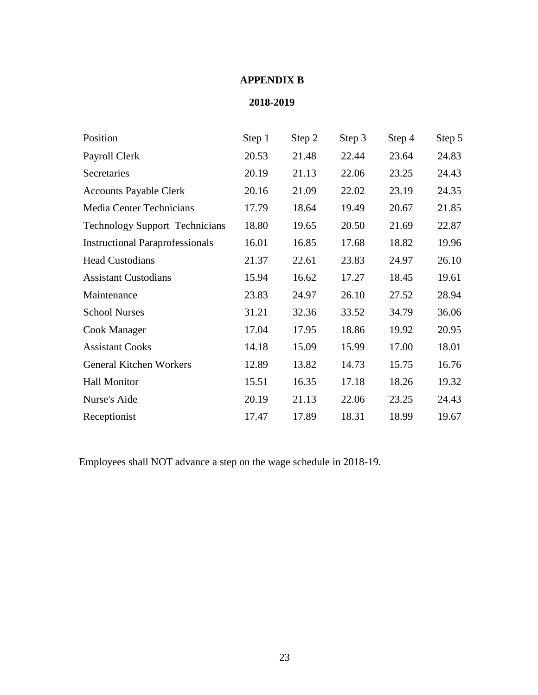# **APPENDIX B**

# **2018-2019**

| Position                               | Step 1 | Step 2 | Step 3 | Step $4$ | Step 5 |
|----------------------------------------|--------|--------|--------|----------|--------|
| Payroll Clerk                          | 20.53  | 21.48  | 22.44  | 23.64    | 24.83  |
| Secretaries                            | 20.19  | 21.13  | 22.06  | 23.25    | 24.43  |
| <b>Accounts Payable Clerk</b>          | 20.16  | 21.09  | 22.02  | 23.19    | 24.35  |
| Media Center Technicians               | 17.79  | 18.64  | 19.49  | 20.67    | 21.85  |
| <b>Technology Support Technicians</b>  | 18.80  | 19.65  | 20.50  | 21.69    | 22.87  |
| <b>Instructional Paraprofessionals</b> | 16.01  | 16.85  | 17.68  | 18.82    | 19.96  |
| <b>Head Custodians</b>                 | 21.37  | 22.61  | 23.83  | 24.97    | 26.10  |
| <b>Assistant Custodians</b>            | 15.94  | 16.62  | 17.27  | 18.45    | 19.61  |
| Maintenance                            | 23.83  | 24.97  | 26.10  | 27.52    | 28.94  |
| <b>School Nurses</b>                   | 31.21  | 32.36  | 33.52  | 34.79    | 36.06  |
| Cook Manager                           | 17.04  | 17.95  | 18.86  | 19.92    | 20.95  |
| <b>Assistant Cooks</b>                 | 14.18  | 15.09  | 15.99  | 17.00    | 18.01  |
| <b>General Kitchen Workers</b>         | 12.89  | 13.82  | 14.73  | 15.75    | 16.76  |
| <b>Hall Monitor</b>                    | 15.51  | 16.35  | 17.18  | 18.26    | 19.32  |
| Nurse's Aide                           | 20.19  | 21.13  | 22.06  | 23.25    | 24.43  |
| Receptionist                           | 17.47  | 17.89  | 18.31  | 18.99    | 19.67  |

Employees shall NOT advance a step on the wage schedule in 2018-19.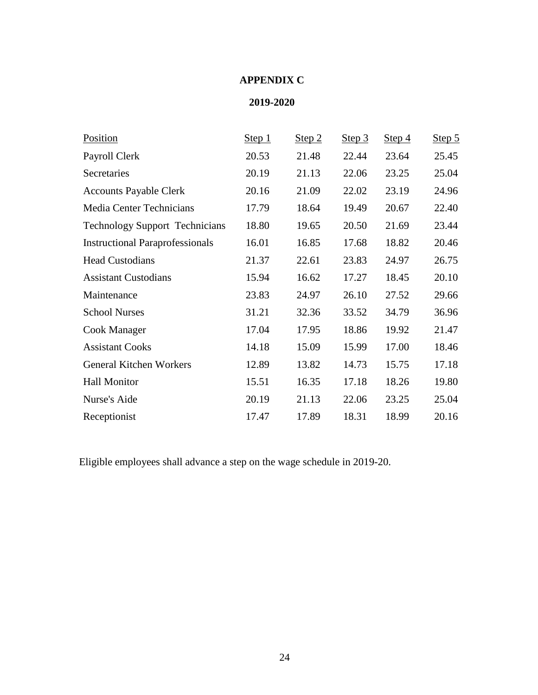# **APPENDIX C**

# **2019-2020**

| Position                               | Step 1 | Step 2 | Step 3 | Step 4 | Step 5 |
|----------------------------------------|--------|--------|--------|--------|--------|
| Payroll Clerk                          | 20.53  | 21.48  | 22.44  | 23.64  | 25.45  |
| Secretaries                            | 20.19  | 21.13  | 22.06  | 23.25  | 25.04  |
| <b>Accounts Payable Clerk</b>          | 20.16  | 21.09  | 22.02  | 23.19  | 24.96  |
| Media Center Technicians               | 17.79  | 18.64  | 19.49  | 20.67  | 22.40  |
| <b>Technology Support Technicians</b>  | 18.80  | 19.65  | 20.50  | 21.69  | 23.44  |
| <b>Instructional Paraprofessionals</b> | 16.01  | 16.85  | 17.68  | 18.82  | 20.46  |
| <b>Head Custodians</b>                 | 21.37  | 22.61  | 23.83  | 24.97  | 26.75  |
| <b>Assistant Custodians</b>            | 15.94  | 16.62  | 17.27  | 18.45  | 20.10  |
| Maintenance                            | 23.83  | 24.97  | 26.10  | 27.52  | 29.66  |
| <b>School Nurses</b>                   | 31.21  | 32.36  | 33.52  | 34.79  | 36.96  |
| Cook Manager                           | 17.04  | 17.95  | 18.86  | 19.92  | 21.47  |
| <b>Assistant Cooks</b>                 | 14.18  | 15.09  | 15.99  | 17.00  | 18.46  |
| <b>General Kitchen Workers</b>         | 12.89  | 13.82  | 14.73  | 15.75  | 17.18  |
| <b>Hall Monitor</b>                    | 15.51  | 16.35  | 17.18  | 18.26  | 19.80  |
| Nurse's Aide                           | 20.19  | 21.13  | 22.06  | 23.25  | 25.04  |
| Receptionist                           | 17.47  | 17.89  | 18.31  | 18.99  | 20.16  |

Eligible employees shall advance a step on the wage schedule in 2019-20.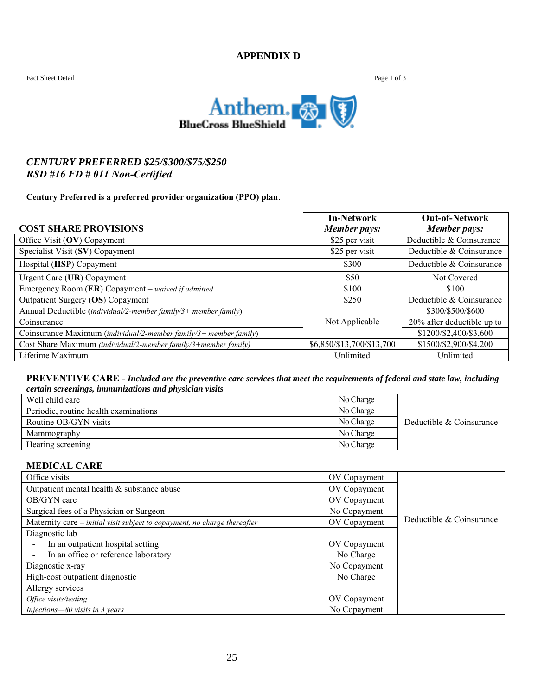#### **APPENDIX D**



## *CENTURY PREFERRED \$25/\$300/\$75/\$250 RSD #16 FD # 011 Non-Certified*

#### **Century Preferred is a preferred provider organization (PPO) plan**.

|                                                                   | <b>In-Network</b>         | <b>Out-of-Network</b>      |
|-------------------------------------------------------------------|---------------------------|----------------------------|
| <b>COST SHARE PROVISIONS</b>                                      | Member pays:              | <b>Member pays:</b>        |
| Office Visit (OV) Copayment                                       | \$25 per visit            | Deductible & Coinsurance   |
| Specialist Visit (SV) Copayment                                   | \$25 per visit            | Deductible & Coinsurance   |
| Hospital (HSP) Copayment                                          | \$300                     | Deductible & Coinsurance   |
| Urgent Care (UR) Copayment                                        | \$50                      | Not Covered                |
| Emergency Room $(ER)$ Copayment – waived if admitted              | \$100                     | \$100                      |
| Outpatient Surgery (OS) Copayment                                 | \$250                     | Deductible & Coinsurance   |
| Annual Deductible (individual/2-member family/3+ member family)   |                           | \$300/\$500/\$600          |
| Coinsurance                                                       | Not Applicable            | 20% after deductible up to |
| Coinsurance Maximum (individual/2-member family/3+ member family) |                           | \$1200/\$2,400/\$3,600     |
| Cost Share Maximum (individual/2-member family/3+member family)   | \$6,850/\$13,700/\$13,700 | \$1500/\$2,900/\$4,200     |
| Lifetime Maximum                                                  | Unlimited                 | Unlimited                  |

#### **PREVENTIVE CARE -** *Included are the preventive care services that meet the requirements of federal and state law, including certain screenings, immunizations and physician visits*

| Well child care                       | No Charge |                          |
|---------------------------------------|-----------|--------------------------|
| Periodic, routine health examinations | No Charge |                          |
| Routine OB/GYN visits                 | No Charge | Deductible & Coinsurance |
| Mammography                           | No Charge |                          |
| Hearing screening                     | No Charge |                          |

#### **MEDICAL CARE**

| Office visits                                                             | OV Copayment |                          |
|---------------------------------------------------------------------------|--------------|--------------------------|
| Outpatient mental health & substance abuse                                | OV Copayment |                          |
| OB/GYN care                                                               | OV Copayment |                          |
| Surgical fees of a Physician or Surgeon                                   | No Copayment |                          |
| Maternity care – initial visit subject to copayment, no charge thereafter | OV Copayment | Deductible & Coinsurance |
| Diagnostic lab                                                            |              |                          |
| In an outpatient hospital setting                                         | OV Copayment |                          |
| In an office or reference laboratory                                      | No Charge    |                          |
| Diagnostic x-ray                                                          | No Copayment |                          |
| High-cost outpatient diagnostic                                           | No Charge    |                          |
| Allergy services                                                          |              |                          |
| Office visits/testing                                                     | OV Copayment |                          |
| Injections-80 visits in 3 years                                           | No Copayment |                          |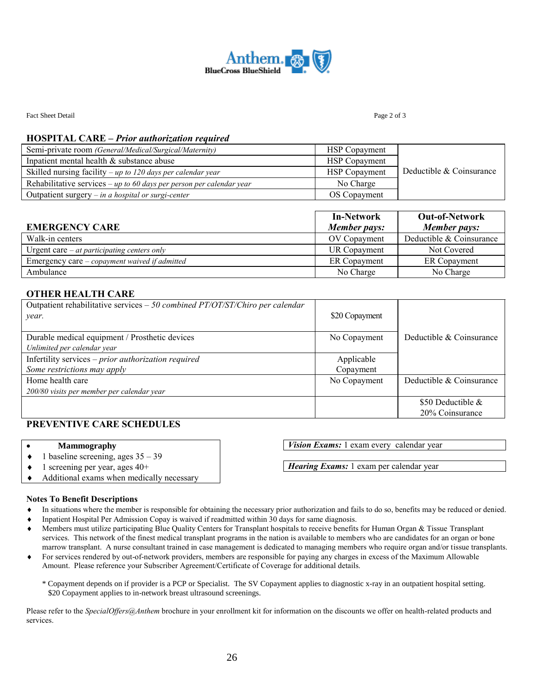

Fact Sheet Detail Page 2 of 3

#### **HOSPITAL CARE –** *Prior authorization required*

| Semi-private room (General/Medical/Surgical/Maternity)               | <b>HSP</b> Copayment |                          |
|----------------------------------------------------------------------|----------------------|--------------------------|
| Inpatient mental health & substance abuse                            | <b>HSP</b> Copayment |                          |
| Skilled nursing facility – up to 120 days per calendar year          | <b>HSP</b> Copayment | Deductible & Coinsurance |
| Rehabilitative services – up to 60 days per person per calendar year | No Charge            |                          |
| Outpatient surgery $-$ in a hospital or surgi-center                 | OS Copayment         |                          |

| <b>EMERGENCY CARE</b>                                | <b>In-Network</b><br>Member pays: | <b>Out-of-Network</b><br>Member pays: |
|------------------------------------------------------|-----------------------------------|---------------------------------------|
| Walk-in centers                                      | OV Copayment                      | Deductible & Coinsurance              |
| Urgent care $-$ <i>at participating centers only</i> | <b>UR Copayment</b>               | Not Covered                           |
| Emergency care – copayment waived if admitted        | ER Copayment                      | ER Copayment                          |
| Ambulance                                            | No Charge                         | No Charge                             |

#### **OTHER HEALTH CARE**

| Outpatient rehabilitative services $-50$ combined PT/OT/ST/Chiro per calendar<br>year. | \$20 Copayment                           |                          |
|----------------------------------------------------------------------------------------|------------------------------------------|--------------------------|
| Durable medical equipment / Prosthetic devices                                         | Deductible & Coinsurance<br>No Copayment |                          |
| Unlimited per calendar year                                                            |                                          |                          |
| Infertility services - prior authorization required                                    | Applicable                               |                          |
| Some restrictions may apply                                                            | Copayment                                |                          |
| Home health care                                                                       | No Copayment                             | Deductible & Coinsurance |
| 200/80 visits per member per calendar year                                             |                                          |                          |
|                                                                                        |                                          | \$50 Deductible $\&$     |
|                                                                                        |                                          | 20% Coinsurance          |

#### **PREVENTIVE CARE SCHEDULES**

#### **Mammography**

- $\bullet$  1 baseline screening, ages  $35 39$
- $\bullet$  1 screening per year, ages 40+
- Additional exams when medically necessary

#### **Notes To Benefit Descriptions**

- In situations where the member is responsible for obtaining the necessary prior authorization and fails to do so, benefits may be reduced or denied.
- Inpatient Hospital Per Admission Copay is waived if readmitted within 30 days for same diagnosis.
- Members must utilize participating Blue Quality Centers for Transplant hospitals to receive benefits for Human Organ & Tissue Transplant services. This network of the finest medical transplant programs in the nation is available to members who are candidates for an organ or bone marrow transplant. A nurse consultant trained in case management is dedicated to managing members who require organ and/or tissue transplants.
- For services rendered by out-of-network providers, members are responsible for paying any charges in excess of the Maximum Allowable Amount. Please reference your Subscriber Agreement/Certificate of Coverage for additional details.
	- \* Copayment depends on if provider is a PCP or Specialist. The SV Copayment applies to diagnostic x-ray in an outpatient hospital setting. \$20 Copayment applies to in-network breast ultrasound screenings.

Please refer to the *SpecialOffers@Anthem* brochure in your enrollment kit for information on the discounts we offer on health-related products and services.

*Vision Exams:* 1 exam every calendar year

*Hearing Exams:* 1 exam per calendar year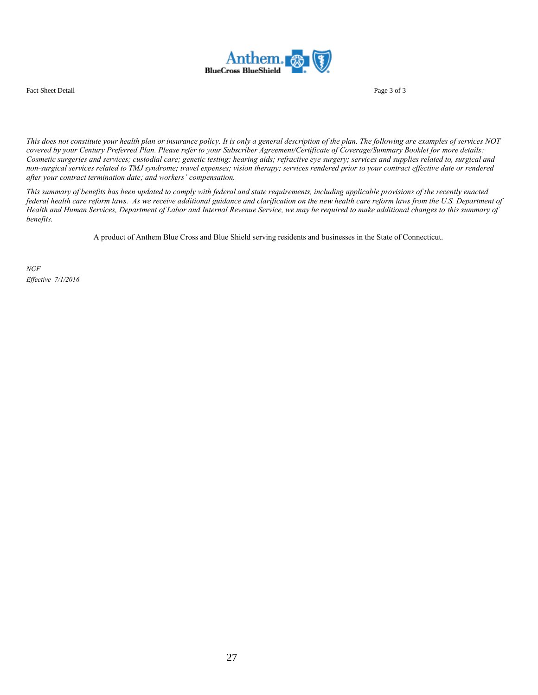

Fact Sheet Detail Page 3 of 3

*This does not constitute your health plan or insurance policy. It is only a general description of the plan. The following are examples of services NOT covered by your Century Preferred Plan. Please refer to your Subscriber Agreement/Certificate of Coverage/Summary Booklet for more details: Cosmetic surgeries and services; custodial care; genetic testing; hearing aids; refractive eye surgery; services and supplies related to, surgical and non-surgical services related to TMJ syndrome; travel expenses; vision therapy; services rendered prior to your contract effective date or rendered after your contract termination date; and workers' compensation.*

*This summary of benefits has been updated to comply with federal and state requirements, including applicable provisions of the recently enacted federal health care reform laws. As we receive additional guidance and clarification on the new health care reform laws from the U.S. Department of Health and Human Services, Department of Labor and Internal Revenue Service, we may be required to make additional changes to this summary of benefits.*

A product of Anthem Blue Cross and Blue Shield serving residents and businesses in the State of Connecticut.

*NGF Effective 7/1/2016*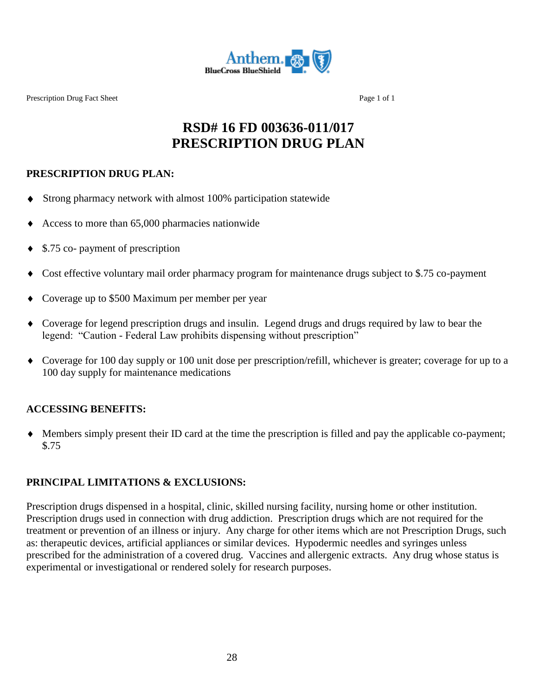

Prescription Drug Fact Sheet Page 1 of 1

# **RSD# 16 FD 003636-011/017 PRESCRIPTION DRUG PLAN**

## **PRESCRIPTION DRUG PLAN:**

- Strong pharmacy network with almost 100% participation statewide
- Access to more than 65,000 pharmacies nationwide
- ◆ \$.75 co- payment of prescription
- Cost effective voluntary mail order pharmacy program for maintenance drugs subject to \$.75 co-payment
- Coverage up to \$500 Maximum per member per year
- Coverage for legend prescription drugs and insulin. Legend drugs and drugs required by law to bear the legend: "Caution - Federal Law prohibits dispensing without prescription"
- Coverage for 100 day supply or 100 unit dose per prescription/refill, whichever is greater; coverage for up to a 100 day supply for maintenance medications

# **ACCESSING BENEFITS:**

 Members simply present their ID card at the time the prescription is filled and pay the applicable co-payment; \$.75

# **PRINCIPAL LIMITATIONS & EXCLUSIONS:**

Prescription drugs dispensed in a hospital, clinic, skilled nursing facility, nursing home or other institution. Prescription drugs used in connection with drug addiction. Prescription drugs which are not required for the treatment or prevention of an illness or injury. Any charge for other items which are not Prescription Drugs, such as: therapeutic devices, artificial appliances or similar devices. Hypodermic needles and syringes unless prescribed for the administration of a covered drug. Vaccines and allergenic extracts. Any drug whose status is experimental or investigational or rendered solely for research purposes.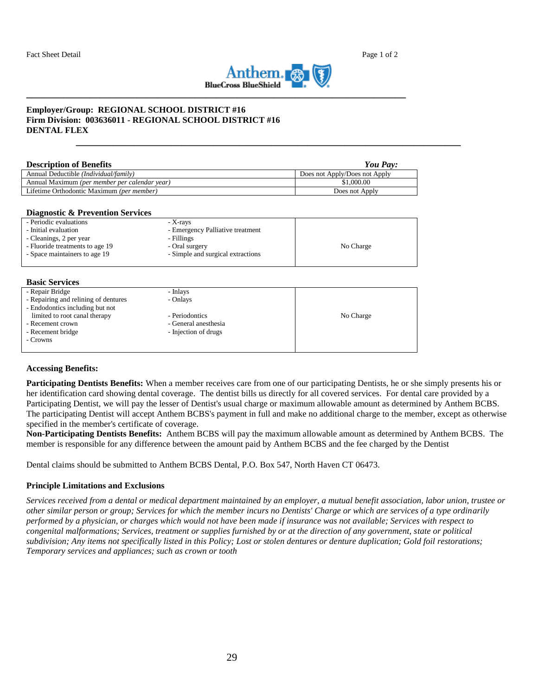

**\_\_\_\_\_\_\_\_\_\_\_\_\_\_\_\_\_\_\_\_\_\_\_\_\_\_\_\_\_\_\_\_\_\_\_\_\_\_\_\_\_\_\_\_\_\_\_\_\_\_\_\_\_\_\_\_\_\_\_\_\_\_\_\_\_\_\_\_\_\_\_\_\_**

#### **Employer/Group: REGIONAL SCHOOL DISTRICT #16 Firm Division: 003636011 - REGIONAL SCHOOL DISTRICT #16 DENTAL FLEX**

| <b>Description of Benefits</b>                 | You Pay:                      |
|------------------------------------------------|-------------------------------|
| Annual Deductible ( <i>Individual/family</i> ) | Does not Apply/Does not Apply |
| Annual Maximum (per member per calendar year)  | \$1,000.00                    |
| Lifetime Orthodontic Maximum (per member)      | Does not Apply                |

#### **Diagnostic & Prevention Services**

| - Periodic evaluations          | - X-rays                          |           |
|---------------------------------|-----------------------------------|-----------|
| - Initial evaluation            | - Emergency Palliative treatment  |           |
| - Cleanings, 2 per year         | - Fillings                        |           |
| - Fluoride treatments to age 19 | - Oral surgery                    | No Charge |
| - Space maintainers to age 19   | - Simple and surgical extractions |           |
|                                 |                                   |           |

#### **Basic Services**

| - Repair Bridge                      | - Inlays             |           |
|--------------------------------------|----------------------|-----------|
| - Repairing and relining of dentures | - Onlays             |           |
| - Endodontics including but not      |                      |           |
| limited to root canal therapy        | - Periodontics       | No Charge |
| - Recement crown                     | - General anesthesia |           |
| - Recement bridge                    | - Injection of drugs |           |
| - Crowns                             |                      |           |
|                                      |                      |           |
|                                      |                      |           |

#### **Accessing Benefits:**

**Participating Dentists Benefits:** When a member receives care from one of our participating Dentists, he or she simply presents his or her identification card showing dental coverage. The dentist bills us directly for all covered services. For dental care provided by a Participating Dentist, we will pay the lesser of Dentist's usual charge or maximum allowable amount as determined by Anthem BCBS. The participating Dentist will accept Anthem BCBS's payment in full and make no additional charge to the member, except as otherwise specified in the member's certificate of coverage.

**Non-Participating Dentists Benefits:** Anthem BCBS will pay the maximum allowable amount as determined by Anthem BCBS. The member is responsible for any difference between the amount paid by Anthem BCBS and the fee charged by the Dentist

Dental claims should be submitted to Anthem BCBS Dental, P.O. Box 547, North Haven CT 06473.

#### **Principle Limitations and Exclusions**

*Services received from a dental or medical department maintained by an employer, a mutual benefit association, labor union, trustee or other similar person or group; Services for which the member incurs no Dentists' Charge or which are services of a type ordinarily performed by a physician, or charges which would not have been made if insurance was not available; Services with respect to congenital malformations; Services, treatment or supplies furnished by or at the direction of any government, state or political subdivision; Any items not specifically listed in this Policy; Lost or stolen dentures or denture duplication; Gold foil restorations; Temporary services and appliances; such as crown or tooth*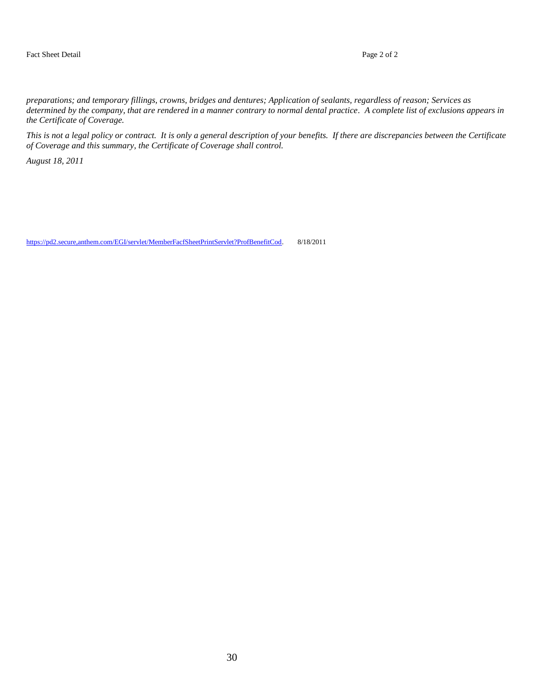*preparations; and temporary fillings, crowns, bridges and dentures; Application of sealants, regardless of reason; Services as determined by the company, that are rendered in a manner contrary to normal dental practice. A complete list of exclusions appears in the Certificate of Coverage.*

*This is not a legal policy or contract. It is only a general description of your benefits. If there are discrepancies between the Certificate of Coverage and this summary, the Certificate of Coverage shall control.*

*August 18, 2011*

https://pd2.secure,anthem.com/EGI/servlet/MemberFacfSheetPrintServlet?ProfBenefitCod. 8/18/2011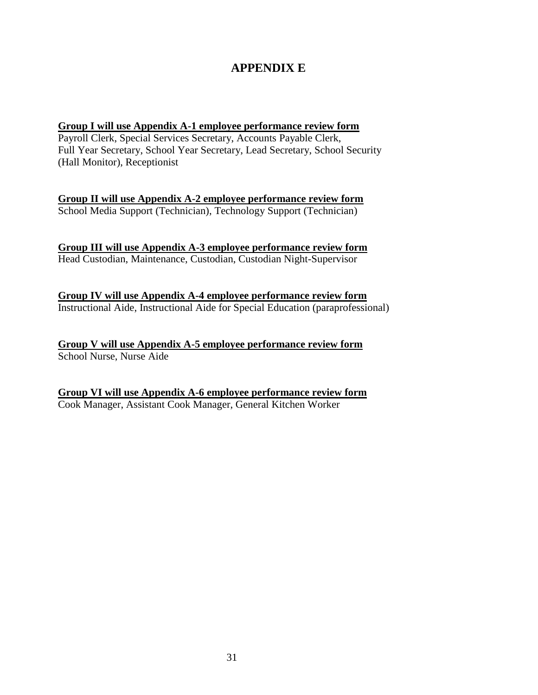# **APPENDIX E**

#### **Group I will use Appendix A-1 employee performance review form**

Payroll Clerk, Special Services Secretary, Accounts Payable Clerk, Full Year Secretary, School Year Secretary, Lead Secretary, School Security (Hall Monitor), Receptionist

**Group II will use Appendix A-2 employee performance review form** School Media Support (Technician), Technology Support (Technician)

**Group III will use Appendix A-3 employee performance review form** Head Custodian, Maintenance, Custodian, Custodian Night-Supervisor

**Group IV will use Appendix A-4 employee performance review form** Instructional Aide, Instructional Aide for Special Education (paraprofessional)

**Group V will use Appendix A-5 employee performance review form** School Nurse, Nurse Aide

**Group VI will use Appendix A-6 employee performance review form** Cook Manager, Assistant Cook Manager, General Kitchen Worker